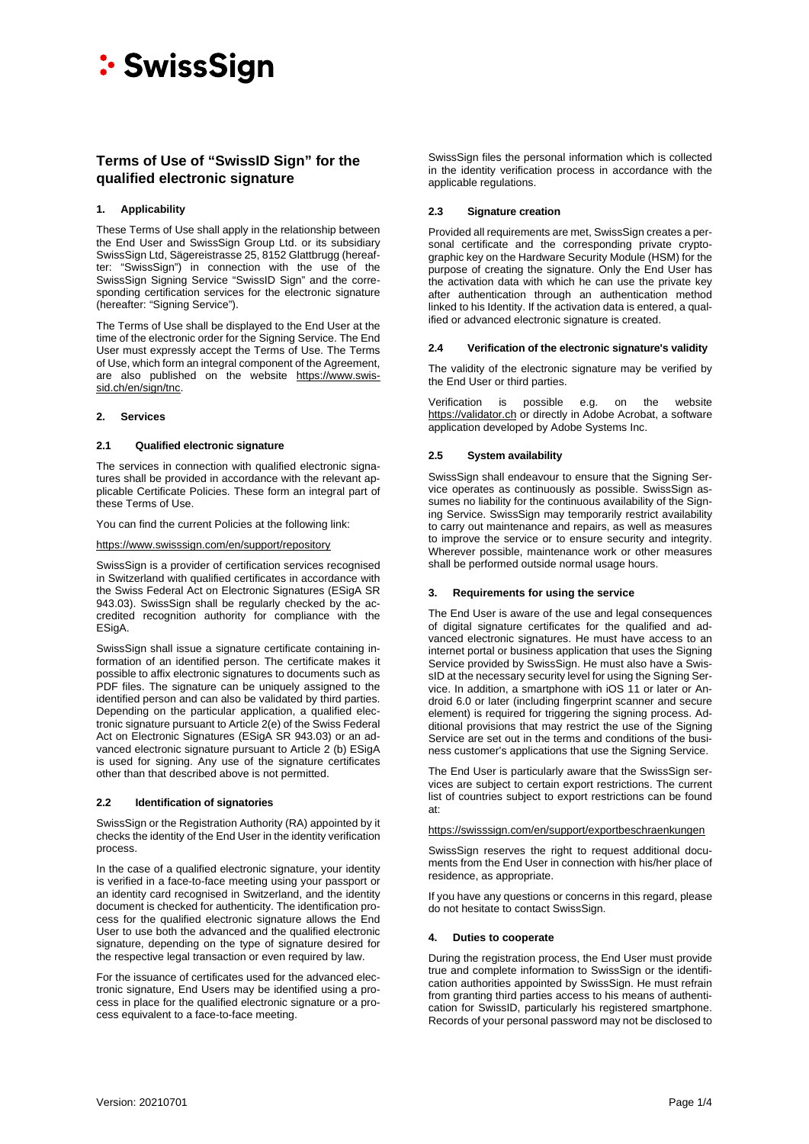## **Terms of Use of "SwissID Sign" for the qualified electronic signature**

## **1. Applicability**

These Terms of Use shall apply in the relationship between the End User and SwissSign Group Ltd. or its subsidiary SwissSign Ltd, Sägereistrasse 25, 8152 Glattbrugg (hereafter: "SwissSign") in connection with the use of the SwissSign Signing Service "SwissID Sign" and the corresponding certification services for the electronic signature (hereafter: "Signing Service").

The Terms of Use shall be displayed to the End User at the time of the electronic order for the Signing Service. The End User must expressly accept the Terms of Use. The Terms of Use, which form an integral component of the Agreement, are also published on the website [https://www.swis](https://www.swissid.ch/en/sign/tnc)sid.ch/en/sign/tnc.

### **2. Services**

### **2.1 Qualified electronic signature**

The services in connection with qualified electronic signatures shall be provided in accordance with the relevant applicable Certificate Policies. These form an integral part of these Terms of Use.

You can find the current Policies at the following link:

<https://www.swisssign.com/en/support/repository>

SwissSign is a provider of certification services recognised in Switzerland with qualified certificates in accordance with the Swiss Federal Act on Electronic Signatures (ESigA SR 943.03). SwissSign shall be regularly checked by the accredited recognition authority for compliance with the ESigA.

SwissSign shall issue a signature certificate containing information of an identified person. The certificate makes it possible to affix electronic signatures to documents such as PDF files. The signature can be uniquely assigned to the identified person and can also be validated by third parties. Depending on the particular application, a qualified electronic signature pursuant to Article 2(e) of the Swiss Federal Act on Electronic Signatures (ESigA SR 943.03) or an advanced electronic signature pursuant to Article 2 (b) ESigA is used for signing. Any use of the signature certificates other than that described above is not permitted.

### **2.2 Identification of signatories**

SwissSign or the Registration Authority (RA) appointed by it checks the identity of the End User in the identity verification process.

In the case of a qualified electronic signature, your identity is verified in a face-to-face meeting using your passport or an identity card recognised in Switzerland, and the identity document is checked for authenticity. The identification process for the qualified electronic signature allows the End User to use both the advanced and the qualified electronic signature, depending on the type of signature desired for the respective legal transaction or even required by law.

For the issuance of certificates used for the advanced electronic signature, End Users may be identified using a process in place for the qualified electronic signature or a process equivalent to a face-to-face meeting.

SwissSign files the personal information which is collected in the identity verification process in accordance with the applicable regulations.

### **2.3 Signature creation**

Provided all requirements are met, SwissSign creates a personal certificate and the corresponding private cryptographic key on the Hardware Security Module (HSM) for the purpose of creating the signature. Only the End User has the activation data with which he can use the private key after authentication through an authentication method linked to his Identity. If the activation data is entered, a qualified or advanced electronic signature is created.

### **2.4 Verification of the electronic signature's validity**

The validity of the electronic signature may be verified by the End User or third parties.

Verification is possible e.g. on the website [https://validator.ch](https://validator.ch/) or directly in Adobe Acrobat, a software application developed by Adobe Systems Inc.

## **2.5 System availability**

SwissSign shall endeavour to ensure that the Signing Service operates as continuously as possible. SwissSign assumes no liability for the continuous availability of the Signing Service. SwissSign may temporarily restrict availability to carry out maintenance and repairs, as well as measures to improve the service or to ensure security and integrity. Wherever possible, maintenance work or other measures shall be performed outside normal usage hours.

### **3. Requirements for using the service**

The End User is aware of the use and legal consequences of digital signature certificates for the qualified and advanced electronic signatures. He must have access to an internet portal or business application that uses the Signing Service provided by SwissSign. He must also have a SwissID at the necessary security level for using the Signing Service. In addition, a smartphone with iOS 11 or later or Android 6.0 or later (including fingerprint scanner and secure element) is required for triggering the signing process. Additional provisions that may restrict the use of the Signing Service are set out in the terms and conditions of the business customer's applications that use the Signing Service.

The End User is particularly aware that the SwissSign services are subject to certain export restrictions. The current list of countries subject to export restrictions can be found at:

<https://swisssign.com/en/support/exportbeschraenkungen>

SwissSign reserves the right to request additional documents from the End User in connection with his/her place of residence, as appropriate.

If you have any questions or concerns in this regard, please do not hesitate to contact SwissSign.

### **4. Duties to cooperate**

During the registration process, the End User must provide true and complete information to SwissSign or the identification authorities appointed by SwissSign. He must refrain from granting third parties access to his means of authentication for SwissID, particularly his registered smartphone. Records of your personal password may not be disclosed to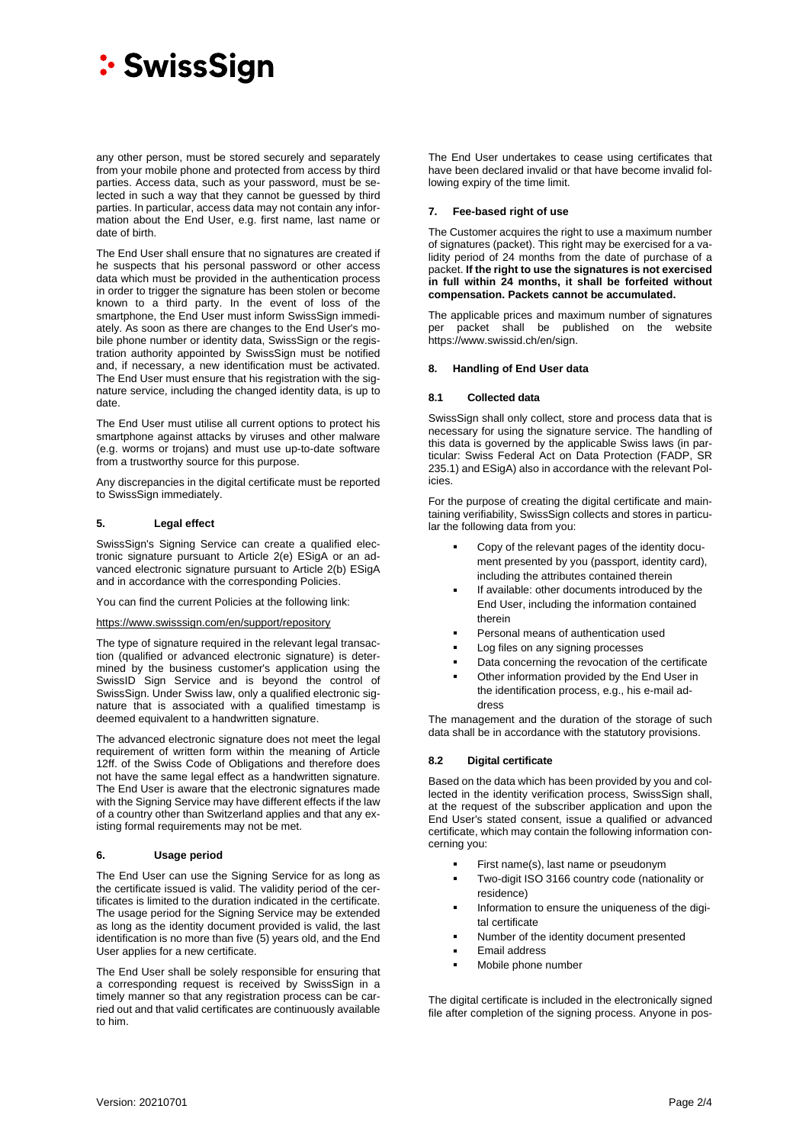any other person, must be stored securely and separately from your mobile phone and protected from access by third parties. Access data, such as your password, must be selected in such a way that they cannot be guessed by third parties. In particular, access data may not contain any information about the End User, e.g. first name, last name or date of birth.

The End User shall ensure that no signatures are created if he suspects that his personal password or other access data which must be provided in the authentication process in order to trigger the signature has been stolen or become known to a third party. In the event of loss of the smartphone, the End User must inform SwissSign immediately. As soon as there are changes to the End User's mobile phone number or identity data, SwissSign or the registration authority appointed by SwissSign must be notified and, if necessary, a new identification must be activated. The End User must ensure that his registration with the signature service, including the changed identity data, is up to date.

The End User must utilise all current options to protect his smartphone against attacks by viruses and other malware (e.g. worms or trojans) and must use up-to-date software from a trustworthy source for this purpose.

Any discrepancies in the digital certificate must be reported to SwissSign immediately.

## **5. Legal effect**

SwissSign's Signing Service can create a qualified electronic signature pursuant to Article 2(e) ESigA or an advanced electronic signature pursuant to Article 2(b) ESigA and in accordance with the corresponding Policies.

You can find the current Policies at the following link:

#### <https://www.swisssign.com/en/support/repository>

The type of signature required in the relevant legal transaction (qualified or advanced electronic signature) is determined by the business customer's application using the SwissID Sign Service and is beyond the control of SwissSign. Under Swiss law, only a qualified electronic signature that is associated with a qualified timestamp is deemed equivalent to a handwritten signature.

The advanced electronic signature does not meet the legal requirement of written form within the meaning of Article 12ff. of the Swiss Code of Obligations and therefore does not have the same legal effect as a handwritten signature. The End User is aware that the electronic signatures made with the Signing Service may have different effects if the law of a country other than Switzerland applies and that any existing formal requirements may not be met.

### **6. Usage period**

The End User can use the Signing Service for as long as the certificate issued is valid. The validity period of the certificates is limited to the duration indicated in the certificate. The usage period for the Signing Service may be extended as long as the identity document provided is valid, the last identification is no more than five (5) years old, and the End User applies for a new certificate.

The End User shall be solely responsible for ensuring that a corresponding request is received by SwissSign in a timely manner so that any registration process can be carried out and that valid certificates are continuously available to him.

The End User undertakes to cease using certificates that have been declared invalid or that have become invalid following expiry of the time limit.

#### **7. Fee-based right of use**

The Customer acquires the right to use a maximum number of signatures (packet). This right may be exercised for a validity period of 24 months from the date of purchase of a packet. **If the right to use the signatures is not exercised in full within 24 months, it shall be forfeited without compensation. Packets cannot be accumulated.**

The applicable prices and maximum number of signatures per packet shall be published on the website https://www.swissid.ch/en/sign.

#### **8. Handling of End User data**

#### <span id="page-1-0"></span>**8.1 Collected data**

SwissSign shall only collect, store and process data that is necessary for using the signature service. The handling of this data is governed by the applicable Swiss laws (in particular: Swiss Federal Act on Data Protection (FADP, SR 235.1) and ESigA) also in accordance with the relevant Policies.

For the purpose of creating the digital certificate and maintaining verifiability, SwissSign collects and stores in particular the following data from you:

- Copy of the relevant pages of the identity document presented by you (passport, identity card), including the attributes contained therein
- If available: other documents introduced by the End User, including the information contained therein
- Personal means of authentication used
- **Log files on any signing processes**
- **•** Data concerning the revocation of the certificate
- Other information provided by the End User in the identification process, e.g., his e-mail address

The management and the duration of the storage of such data shall be in accordance with the statutory provisions.

### **8.2 Digital certificate**

Based on the data which has been provided by you and collected in the identity verification process, SwissSign shall, at the request of the subscriber application and upon the End User's stated consent, issue a qualified or advanced certificate, which may contain the following information concerning you:

- First name(s), last name or pseudonym
- Two-digit ISO 3166 country code (nationality or residence)
- Information to ensure the uniqueness of the digital certificate
- Number of the identity document presented
- Email address
- Mobile phone number

The digital certificate is included in the electronically signed file after completion of the signing process. Anyone in pos-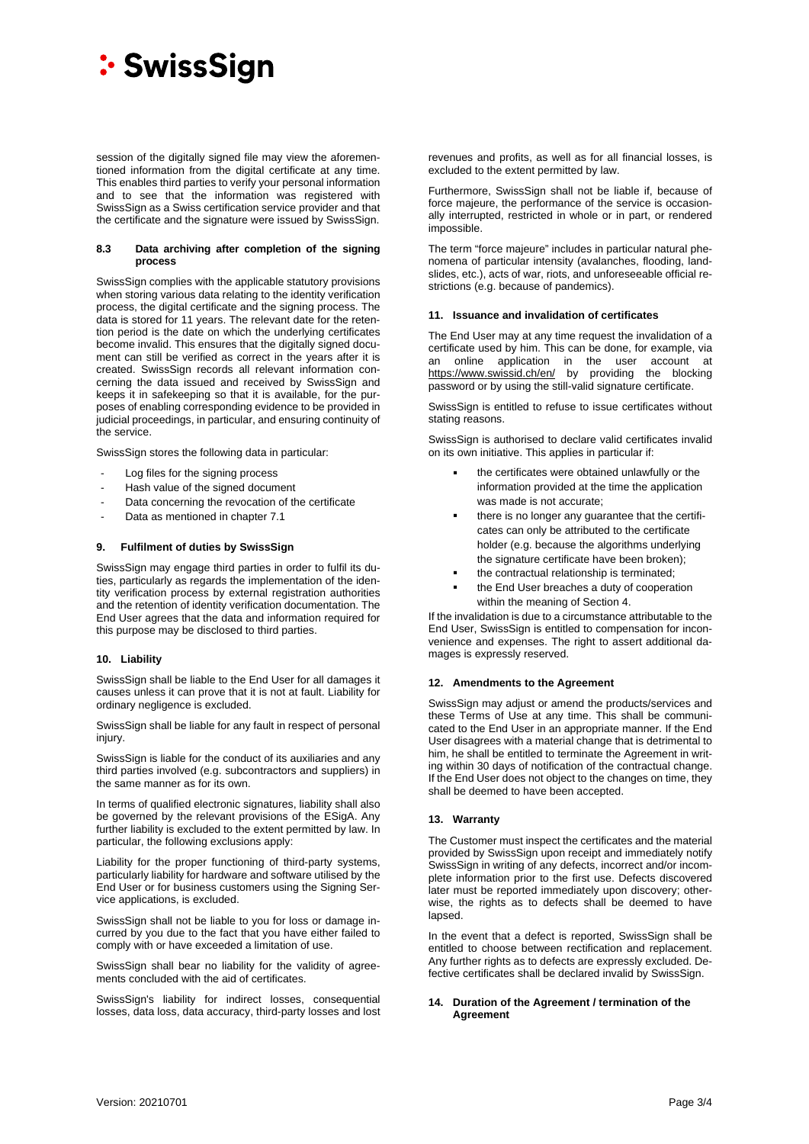session of the digitally signed file may view the aforementioned information from the digital certificate at any time. This enables third parties to verify your personal information and to see that the information was registered with SwissSign as a Swiss certification service provider and that the certificate and the signature were issued by SwissSign.

#### **8.3 Data archiving after completion of the signing process**

SwissSign complies with the applicable statutory provisions when storing various data relating to the identity verification process, the digital certificate and the signing process. The data is stored for 11 years. The relevant date for the retention period is the date on which the underlying certificates become invalid. This ensures that the digitally signed document can still be verified as correct in the years after it is created. SwissSign records all relevant information concerning the data issued and received by SwissSign and keeps it in safekeeping so that it is available, for the purposes of enabling corresponding evidence to be provided in judicial proceedings, in particular, and ensuring continuity of the service.

SwissSign stores the following data in particular:

- Log files for the signing process
- Hash value of the signed document
- Data concerning the revocation of the certificate
- Data as mentioned in chapter [7.1](#page-1-0)

#### **9. Fulfilment of duties by SwissSign**

SwissSign may engage third parties in order to fulfil its duties, particularly as regards the implementation of the identity verification process by external registration authorities and the retention of identity verification documentation. The End User agrees that the data and information required for this purpose may be disclosed to third parties.

#### **10. Liability**

SwissSign shall be liable to the End User for all damages it causes unless it can prove that it is not at fault. Liability for ordinary negligence is excluded.

SwissSign shall be liable for any fault in respect of personal injury.

SwissSign is liable for the conduct of its auxiliaries and any third parties involved (e.g. subcontractors and suppliers) in the same manner as for its own.

In terms of qualified electronic signatures, liability shall also be governed by the relevant provisions of the ESigA. Any further liability is excluded to the extent permitted by law. In particular, the following exclusions apply:

Liability for the proper functioning of third-party systems, particularly liability for hardware and software utilised by the End User or for business customers using the Signing Service applications, is excluded.

SwissSign shall not be liable to you for loss or damage incurred by you due to the fact that you have either failed to comply with or have exceeded a limitation of use.

SwissSign shall bear no liability for the validity of agreements concluded with the aid of certificates.

SwissSign's liability for indirect losses, consequential losses, data loss, data accuracy, third-party losses and lost revenues and profits, as well as for all financial losses, is excluded to the extent permitted by law.

Furthermore, SwissSign shall not be liable if, because of force majeure, the performance of the service is occasionally interrupted, restricted in whole or in part, or rendered impossible.

The term "force majeure" includes in particular natural phenomena of particular intensity (avalanches, flooding, landslides, etc.), acts of war, riots, and unforeseeable official restrictions (e.g. because of pandemics).

#### **11. Issuance and invalidation of certificates**

The End User may at any time request the invalidation of a certificate used by him. This can be done, for example, via an online application in the user account at <https://www.swissid.ch/en/> by providing the blocking password or by using the still-valid signature certificate.

SwissSign is entitled to refuse to issue certificates without stating reasons.

SwissSign is authorised to declare valid certificates invalid on its own initiative. This applies in particular if:

- the certificates were obtained unlawfully or the information provided at the time the application was made is not accurate;
- there is no longer any guarantee that the certificates can only be attributed to the certificate holder (e.g. because the algorithms underlying the signature certificate have been broken);
- the contractual relationship is terminated;
- the End User breaches a duty of cooperation within the meaning of Section 4.

If the invalidation is due to a circumstance attributable to the End User, SwissSign is entitled to compensation for inconvenience and expenses. The right to assert additional damages is expressly reserved.

#### **12. Amendments to the Agreement**

SwissSign may adjust or amend the products/services and these Terms of Use at any time. This shall be communicated to the End User in an appropriate manner. If the End User disagrees with a material change that is detrimental to him, he shall be entitled to terminate the Agreement in writing within 30 days of notification of the contractual change. If the End User does not object to the changes on time, they shall be deemed to have been accepted.

### **13. Warranty**

The Customer must inspect the certificates and the material provided by SwissSign upon receipt and immediately notify SwissSign in writing of any defects, incorrect and/or incomplete information prior to the first use. Defects discovered later must be reported immediately upon discovery; otherwise, the rights as to defects shall be deemed to have lapsed.

In the event that a defect is reported, SwissSign shall be entitled to choose between rectification and replacement. Any further rights as to defects are expressly excluded. Defective certificates shall be declared invalid by SwissSign.

#### **14. Duration of the Agreement / termination of the Agreement**